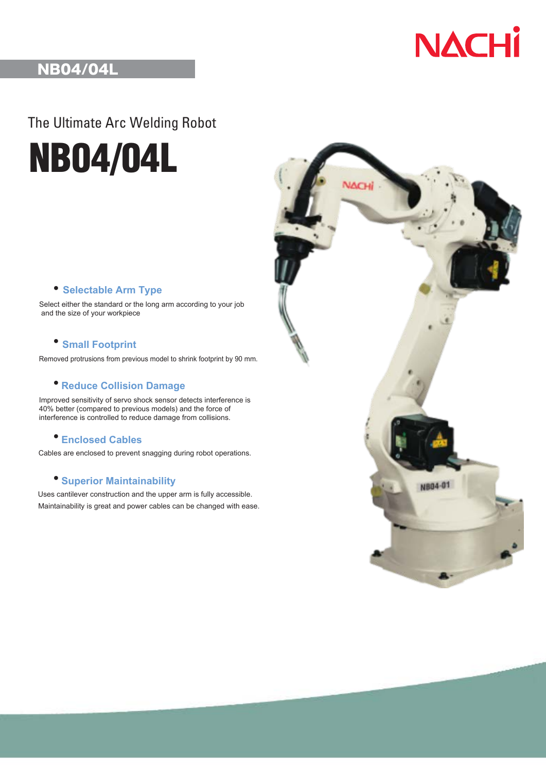

## NB04/04L

The Ultimate Arc Welding Robot

**NB04/04L**

### ● **Selectable Arm Type**

Select either the standard or the long arm according to your job and the size of your workpiece

#### ● **Small Footprint**

Removed protrusions from previous model to shrink footprint by 90 mm.

### ● **Reduce Collision Damage**

Improved sensitivity of servo shock sensor detects interference is 40% better (compared to previous models) and the force of interference is controlled to reduce damage from collisions.

### ● **Enclosed Cables**

Cables are enclosed to prevent snagging during robot operations.

#### ● **Superior Maintainability**

Uses cantilever construction and the upper arm is fully accessible. Maintainability is great and power cables can be changed with ease.